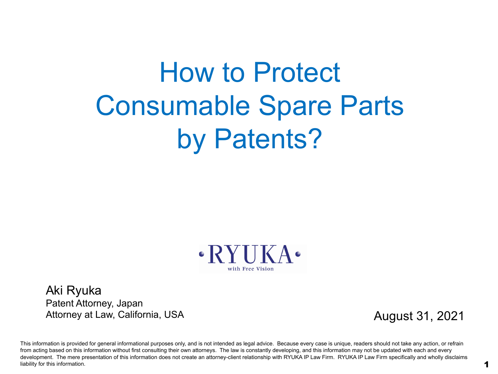# How to Protect Consumable Spare Parts by Patents?



Aki Ryuka Patent Attorney, Japan Attorney at Law, California, USA

August 31, 2021

This information is provided for general informational purposes only, and is not intended as legal advice. Because every case is unique, readers should not take any action, or refrain from acting based on this information without first consulting their own attorneys. The law is constantly developing, and this information may not be updated with each and every development. The mere presentation of this information does not create an attorney-client relationship with RYUKA IP Law Firm. RYUKA IP Law Firm specifically and wholly disclaims liability for this information.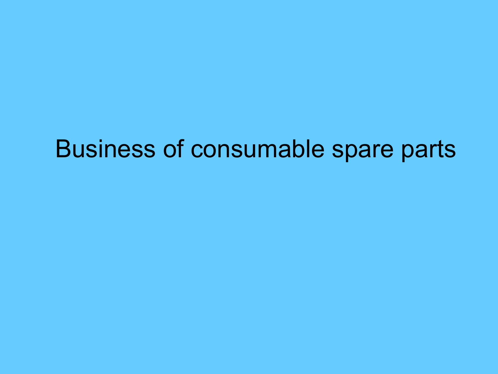### Business of consumable spare parts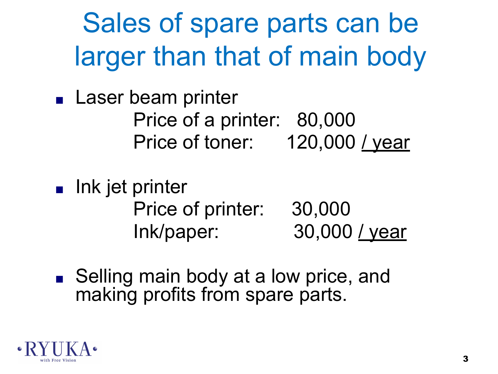Sales of spare parts can be larger than that of main body

■ Laser beam printer Price of a printer: 80,000 Price of toner: 120,000 / year

■ Ink jet printer Price of printer: 30,000 Ink/paper: 30,000 / year

■ Selling main body at a low price, and making profits from spare parts.

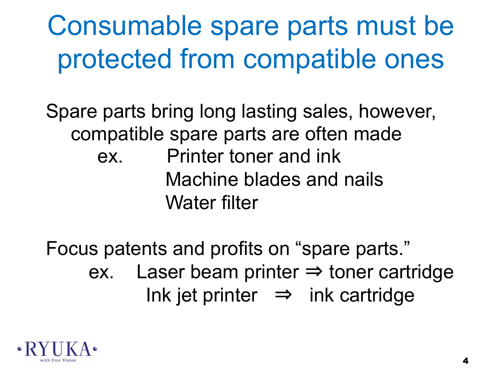# Consumable spare parts must be protected from compatible ones

Spare parts bring long lasting sales, however, compatible spare parts are often made ex. Printer toner and ink Machine blades and nails Water filter

Focus patents and profits on "spare parts." ex. Laser beam printer  $\Rightarrow$  toner cartridge Ink jet printer  $\Rightarrow$  ink cartridge

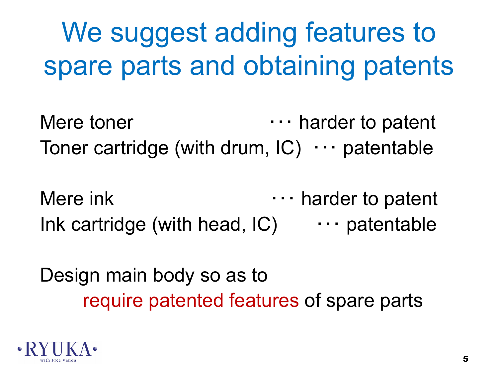# We suggest adding features to spare parts and obtaining patents

Mere toner  $\cdots$  harder to patent Toner cartridge (with drum, IC) ・・・ patentable

Mere ink **the summary of the interval**  $\cdots$  harder to patent Ink cartridge (with head,  $IC$ )  $\cdots$  patentable

Design main body so as to require patented features of spare parts

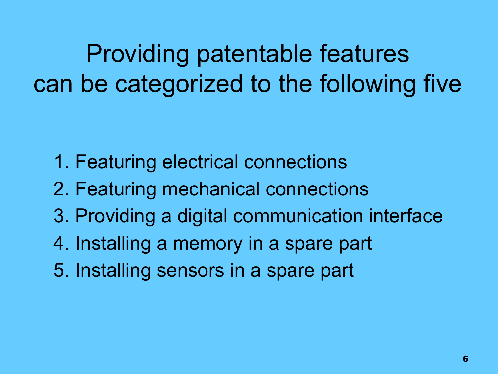Providing patentable features can be categorized to the following five

- 1. Featuring electrical connections
- 2. Featuring mechanical connections
- 3. Providing a digital communication interface
- 4. Installing a memory in a spare part
- 5. Installing sensors in a spare part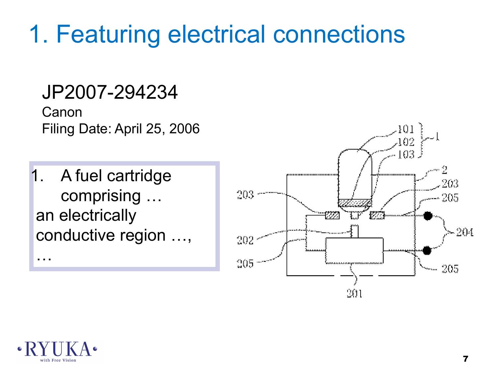## 1. Featuring electrical connections

#### JP2007-294234

Canon Filing Date: April 25, 2006

1. A fuel cartridge comprising … an electrically conductive region …,





…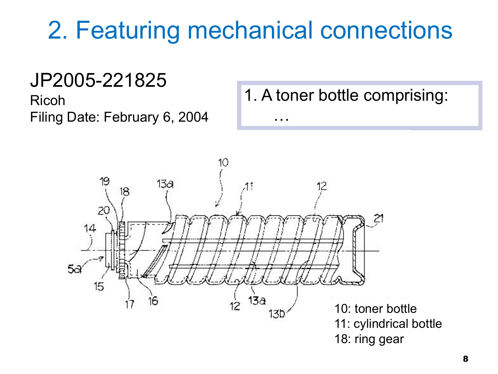# 2. Featuring mechanical connections

…

#### JP2005-221825

Ricoh Filing Date: February 6, 2004 1. A toner bottle comprising:

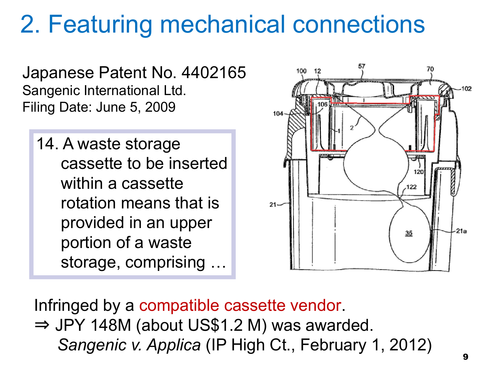## 2. Featuring mechanical connections

Japanese Patent No. 4402165 Sangenic International Ltd. Filing Date: June 5, 2009

14. A waste storage cassette to be inserted within a cassette rotation means that is provided in an upper portion of a waste storage, comprising …



Infringed by a compatible cassette vendor. ⇒ JPY 148M (about US\$1.2 M) was awarded. *Sangenic v. Applica* (IP High Ct., February 1, 2012)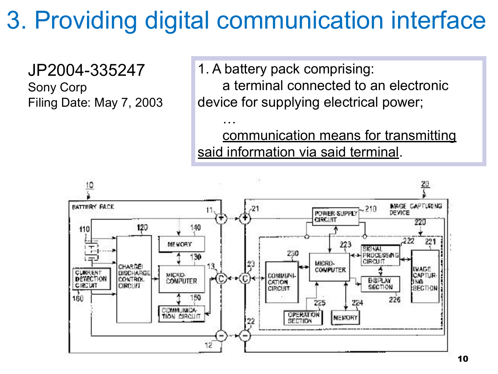# 3. Providing digital communication interface

…

JP2004-335247 Sony Corp Filing Date: May 7, 2003 1. A battery pack comprising: a terminal connected to an electronic device for supplying electrical power;

communication means for transmitting said information via said terminal.

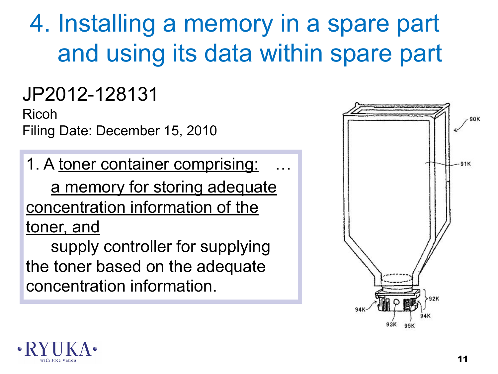# 4. Installing a memory in a spare part and using its data within spare part

### JP2012-128131

Ricoh Filing Date: December 15, 2010

1. A toner container comprising: a memory for storing adequate concentration information of the toner, and

supply controller for supplying the toner based on the adequate concentration information.



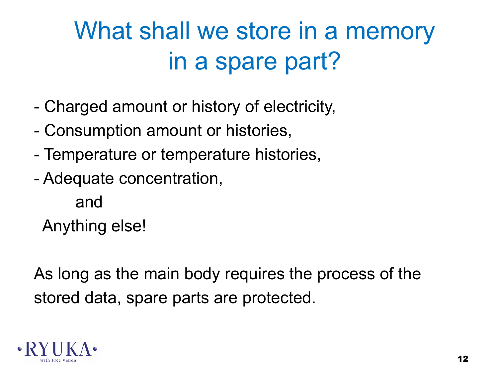# What shall we store in a memory in a spare part?

- Charged amount or history of electricity,
- Consumption amount or histories,
- Temperature or temperature histories,
- Adequate concentration,
	- and

Anything else!

As long as the main body requires the process of the stored data, spare parts are protected.

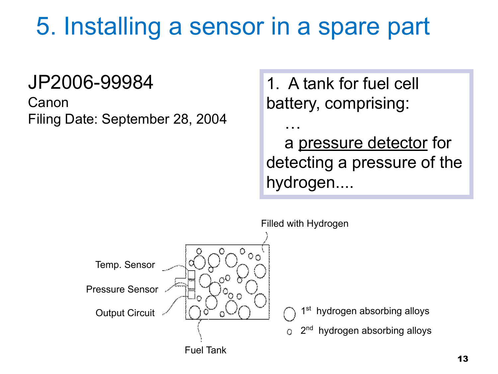## 5. Installing a sensor in a spare part

#### JP2006-99984

Canon Filing Date: September 28, 2004 1. A tank for fuel cell battery, comprising:

 a pressure detector for detecting a pressure of the hydrogen....



…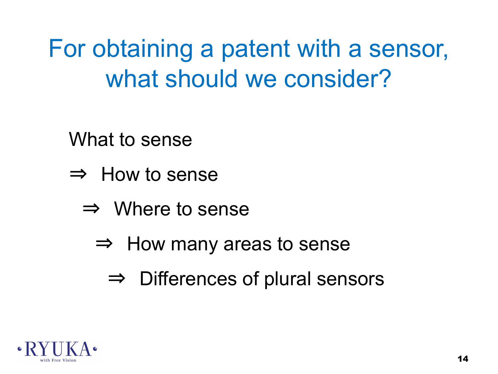For obtaining a patent with a sensor, what should we consider?

What to sense

- ⇒ How to sense
	- $\Rightarrow$  Where to sense
		- $\Rightarrow$  How many areas to sense
			- $\Rightarrow$  Differences of plural sensors

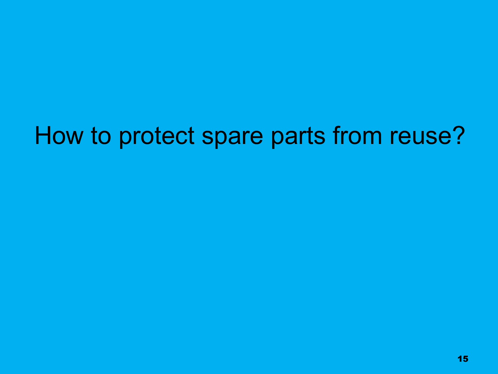### How to protect spare parts from reuse?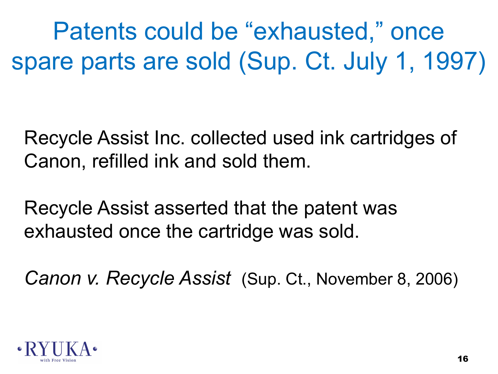Patents could be "exhausted," once spare parts are sold (Sup. Ct. July 1, 1997)

Recycle Assist Inc. collected used ink cartridges of Canon, refilled ink and sold them.

Recycle Assist asserted that the patent was exhausted once the cartridge was sold.

*Canon v. Recycle Assist* (Sup. Ct., November 8, 2006)

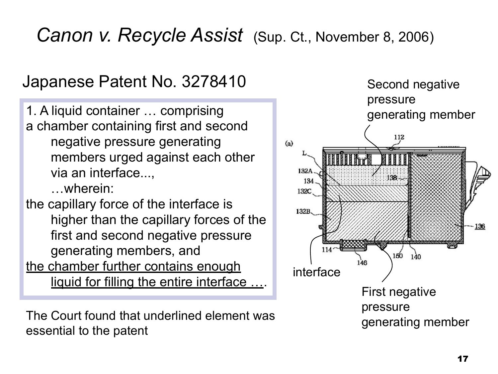#### *Canon v. Recycle Assist* (Sup. Ct., November 8, 2006)

#### Japanese Patent No. 3278410

1. A liquid container … comprising a chamber containing first and second negative pressure generating members urged against each other via an interface..., …wherein: the capillary force of the interface is higher than the capillary forces of the first and second negative pressure generating members, and the chamber further contains enough

liquid for filling the entire interface ….

The Court found that underlined element was essential to the patent

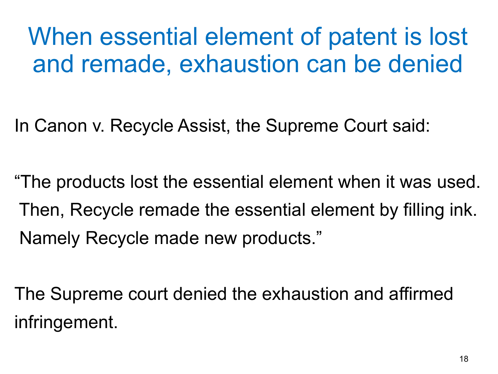## When essential element of patent is lost and remade, exhaustion can be denied

In Canon v. Recycle Assist, the Supreme Court said:

"The products lost the essential element when it was used. Then, Recycle remade the essential element by filling ink. Namely Recycle made new products."

The Supreme court denied the exhaustion and affirmed infringement.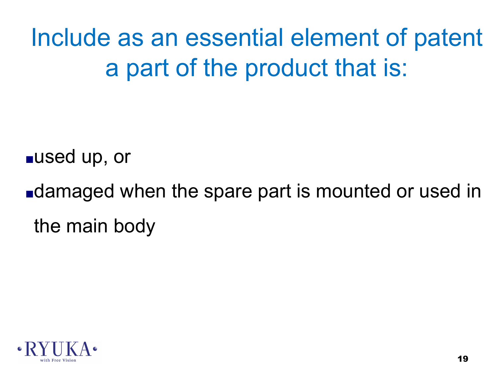Include as an essential element of patent a part of the product that is:

■used up, or

■damaged when the spare part is mounted or used in the main body

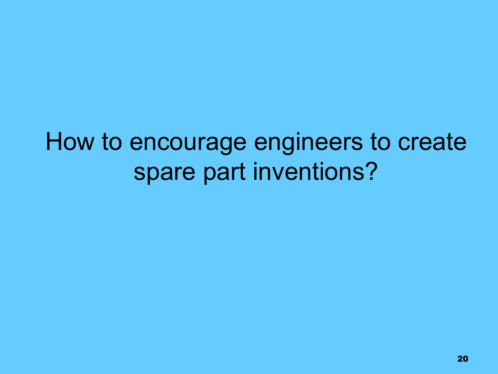## How to encourage engineers to create spare part inventions?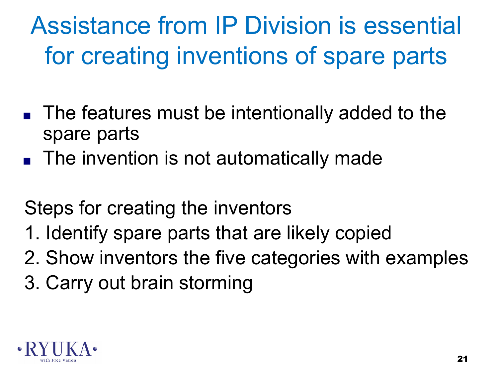Assistance from IP Division is essential for creating inventions of spare parts

- The features must be intentionally added to the spare parts
- The invention is not automatically made

Steps for creating the inventors

- 1. Identify spare parts that are likely copied
- 2. Show inventors the five categories with examples
- 3. Carry out brain storming

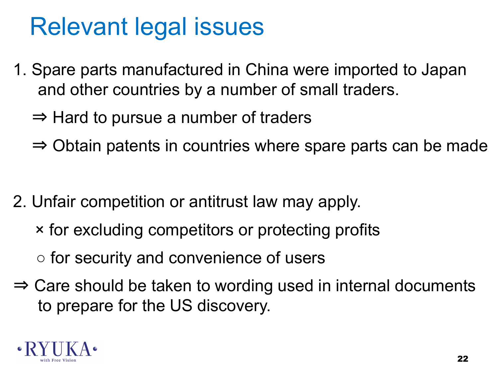### Relevant legal issues

- 1. Spare parts manufactured in China were imported to Japan and other countries by a number of small traders.
	- $\Rightarrow$  Hard to pursue a number of traders
	- ⇒ Obtain patents in countries where spare parts can be made
- 2. Unfair competition or antitrust law may apply.
	- × for excluding competitors or protecting profits
	- for security and convenience of users
- ⇒ Care should be taken to wording used in internal documents to prepare for the US discovery.